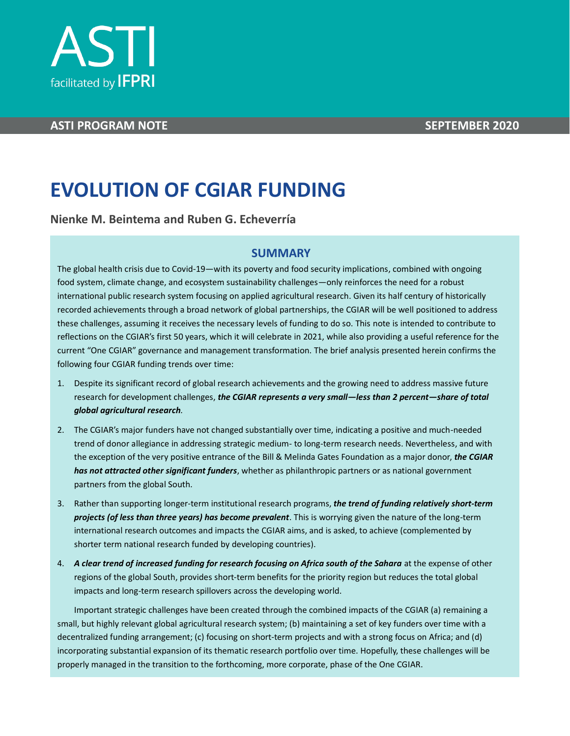



# **ASTI PROGRAM NOTE SEPTEMBER 2020**

# **EVOLUTION OF CGIAR FUNDING**

**Nienke M. Beintema and Ruben G. Echeverría**

# **SUMMARY**

The global health crisis due to Covid-19—with its poverty and food security implications, combined with ongoing food system, climate change, and ecosystem sustainability challenges—only reinforces the need for a robust international public research system focusing on applied agricultural research. Given its half century of historically recorded achievements through a broad network of global partnerships, the CGIAR will be well positioned to address these challenges, assuming it receives the necessary levels of funding to do so. This note is intended to contribute to reflections on the CGIAR's first 50 years, which it will celebrate in 2021, while also providing a useful reference for the current "One CGIAR" governance and management transformation. The brief analysis presented herein confirms the following four CGIAR funding trends over time:

- 1. Despite its significant record of global research achievements and the growing need to address massive future research for development challenges, *the CGIAR represents a very small—less than 2 percent—share of total global agricultural research.*
- 2. The CGIAR's major funders have not changed substantially over time, indicating a positive and much-needed trend of donor allegiance in addressing strategic medium- to long-term research needs. Nevertheless, and with the exception of the very positive entrance of the Bill & Melinda Gates Foundation as a major donor, *the CGIAR has not attracted other significant funders*, whether as philanthropic partners or as national government partners from the global South.
- 3. Rather than supporting longer-term institutional research programs, *the trend of funding relatively short-term projects (of less than three years) has become prevalent*. This is worrying given the nature of the long-term international research outcomes and impacts the CGIAR aims, and is asked, to achieve (complemented by shorter term national research funded by developing countries).
- 4. *A clear trend of increased funding for research focusing on Africa south of the Sahara* at the expense of other regions of the global South, provides short-term benefits for the priority region but reduces the total global impacts and long-term research spillovers across the developing world.

Important strategic challenges have been created through the combined impacts of the CGIAR (a) remaining a small, but highly relevant global agricultural research system; (b) maintaining a set of key funders over time with a decentralized funding arrangement; (c) focusing on short-term projects and with a strong focus on Africa; and (d) incorporating substantial expansion of its thematic research portfolio over time. Hopefully, these challenges will be properly managed in the transition to the forthcoming, more corporate, phase of the One CGIAR.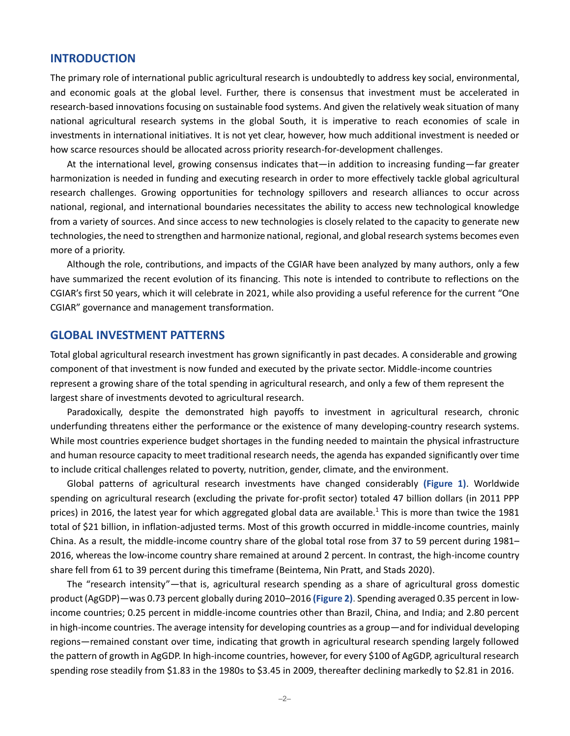### **INTRODUCTION**

The primary role of international public agricultural research is undoubtedly to address key social, environmental, and economic goals at the global level. Further, there is consensus that investment must be accelerated in research-based innovations focusing on sustainable food systems. And given the relatively weak situation of many national agricultural research systems in the global South, it is imperative to reach economies of scale in investments in international initiatives. It is not yet clear, however, how much additional investment is needed or how scarce resources should be allocated across priority research-for-development challenges.

At the international level, growing consensus indicates that—in addition to increasing funding—far greater harmonization is needed in funding and executing research in order to more effectively tackle global agricultural research challenges. Growing opportunities for technology spillovers and research alliances to occur across national, regional, and international boundaries necessitates the ability to access new technological knowledge from a variety of sources. And since access to new technologies is closely related to the capacity to generate new technologies, the need to strengthen and harmonize national, regional, and global research systems becomes even more of a priority.

Although the role, contributions, and impacts of the CGIAR have been analyzed by many authors, only a few have summarized the recent evolution of its financing. This note is intended to contribute to reflections on the CGIAR's first 50 years, which it will celebrate in 2021, while also providing a useful reference for the current "One CGIAR" governance and management transformation.

## **GLOBAL INVESTMENT PATTERNS**

Total global agricultural research investment has grown significantly in past decades. A considerable and growing component of that investment is now funded and executed by the private sector. Middle-income countries represent a growing share of the total spending in agricultural research, and only a few of them represent the largest share of investments devoted to agricultural research.

Paradoxically, despite the demonstrated high payoffs to investment in agricultural research, chronic underfunding threatens either the performance or the existence of many developing-country research systems. While most countries experience budget shortages in the funding needed to maintain the physical infrastructure and human resource capacity to meet traditional research needs, the agenda has expanded significantly over time to include critical challenges related to poverty, nutrition, gender, climate, and the environment.

Global patterns of agricultural research investments have changed considerably **(Figure 1)**. Worldwide spending on agricultural research (excluding the private for-profit sector) totaled 47 billion dollars (in 2011 PPP prices) in 2016, the latest year for which aggregated global data are available.<sup>1</sup> This is more than twice the 1981 total of \$21 billion, in inflation-adjusted terms. Most of this growth occurred in middle-income countries, mainly China. As a result, the middle-income country share of the global total rose from 37 to 59 percent during 1981– 2016, whereas the low-income country share remained at around 2 percent. In contrast, the high-income country share fell from 61 to 39 percent during this timeframe (Beintema, Nin Pratt, and Stads 2020).

The "research intensity"—that is, agricultural research spending as a share of agricultural gross domestic product (AgGDP)—was 0.73 percent globally during 2010–2016 **(Figure 2)**. Spending averaged 0.35 percent in lowincome countries; 0.25 percent in middle-income countries other than Brazil, China, and India; and 2.80 percent in high-income countries. The average intensity for developing countries as a group—and for individual developing regions—remained constant over time, indicating that growth in agricultural research spending largely followed the pattern of growth in AgGDP. In high-income countries, however, for every \$100 of AgGDP, agricultural research spending rose steadily from \$1.83 in the 1980s to \$3.45 in 2009, thereafter declining markedly to \$2.81 in 2016.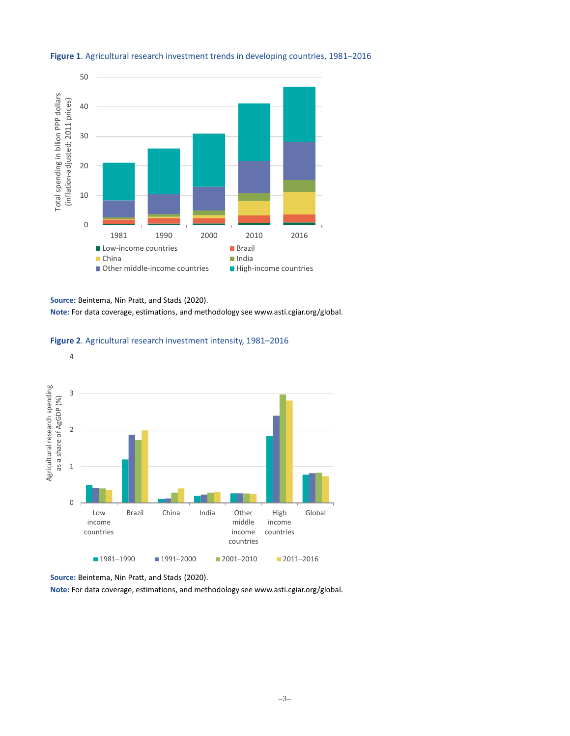

#### **Figure 1**. Agricultural research investment trends in developing countries, 1981–2016

**Source:** Beintema, Nin Pratt, and Stads (2020).

**Note:** For data coverage, estimations, and methodology see www.asti.cgiar.org/global.

#### **Figure 2**. Agricultural research investment intensity, 1981–2016



**Source:** Beintema, Nin Pratt, and Stads (2020).

**Note:** For data coverage, estimations, and methodology see www.asti.cgiar.org/global.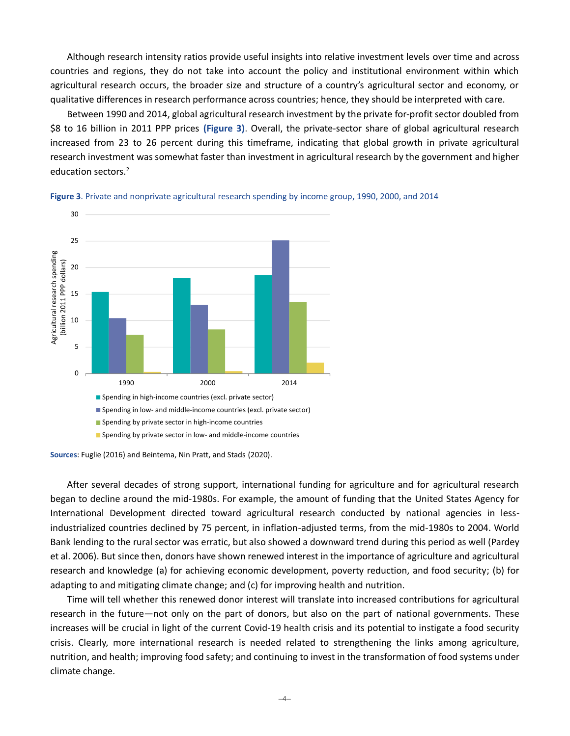Although research intensity ratios provide useful insights into relative investment levels over time and across countries and regions, they do not take into account the policy and institutional environment within which agricultural research occurs, the broader size and structure of a country's agricultural sector and economy, or qualitative differences in research performance across countries; hence, they should be interpreted with care.

Between 1990 and 2014, global agricultural research investment by the private for-profit sector doubled from \$8 to 16 billion in 2011 PPP prices **(Figure 3)**. Overall, the private-sector share of global agricultural research increased from 23 to 26 percent during this timeframe, indicating that global growth in private agricultural research investment was somewhat faster than investment in agricultural research by the government and higher education sectors.<sup>2</sup>





**Sources**: Fuglie (2016) and Beintema, Nin Pratt, and Stads (2020).

After several decades of strong support, international funding for agriculture and for agricultural research began to decline around the mid-1980s. For example, the amount of funding that the United States Agency for International Development directed toward agricultural research conducted by national agencies in lessindustrialized countries declined by 75 percent, in inflation-adjusted terms, from the mid-1980s to 2004. World Bank lending to the rural sector was erratic, but also showed a downward trend during this period as well (Pardey et al. 2006). But since then, donors have shown renewed interest in the importance of agriculture and agricultural research and knowledge (a) for achieving economic development, poverty reduction, and food security; (b) for adapting to and mitigating climate change; and (c) for improving health and nutrition.

Time will tell whether this renewed donor interest will translate into increased contributions for agricultural research in the future—not only on the part of donors, but also on the part of national governments. These increases will be crucial in light of the current Covid-19 health crisis and its potential to instigate a food security crisis. Clearly, more international research is needed related to strengthening the links among agriculture, nutrition, and health; improving food safety; and continuing to invest in the transformation of food systems under climate change.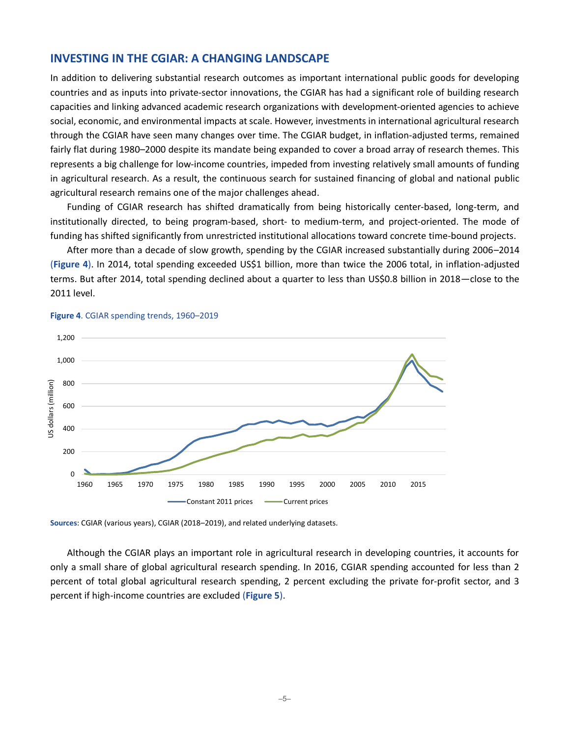## **INVESTING IN THE CGIAR: A CHANGING LANDSCAPE**

In addition to delivering substantial research outcomes as important international public goods for developing countries and as inputs into private-sector innovations, the CGIAR has had a significant role of building research capacities and linking advanced academic research organizations with development-oriented agencies to achieve social, economic, and environmental impacts at scale. However, investments in international agricultural research through the CGIAR have seen many changes over time. The CGIAR budget, in inflation-adjusted terms, remained fairly flat during 1980–2000 despite its mandate being expanded to cover a broad array of research themes. This represents a big challenge for low-income countries, impeded from investing relatively small amounts of funding in agricultural research. As a result, the continuous search for sustained financing of global and national public agricultural research remains one of the major challenges ahead.

Funding of CGIAR research has shifted dramatically from being historically center-based, long-term, and institutionally directed, to being program-based, short- to medium-term, and project-oriented. The mode of funding has shifted significantly from unrestricted institutional allocations toward concrete time-bound projects.

After more than a decade of slow growth, spending by the CGIAR increased substantially during 2006–2014 (**Figure 4**). In 2014, total spending exceeded US\$1 billion, more than twice the 2006 total, in inflation-adjusted terms. But after 2014, total spending declined about a quarter to less than US\$0.8 billion in 2018—close to the 2011 level.



#### **Figure 4**. CGIAR spending trends, 1960–2019

**Sources**: CGIAR (various years), CGIAR (2018–2019), and related underlying datasets.

Although the CGIAR plays an important role in agricultural research in developing countries, it accounts for only a small share of global agricultural research spending. In 2016, CGIAR spending accounted for less than 2 percent of total global agricultural research spending, 2 percent excluding the private for-profit sector, and 3 percent if high-income countries are excluded (**Figure 5**).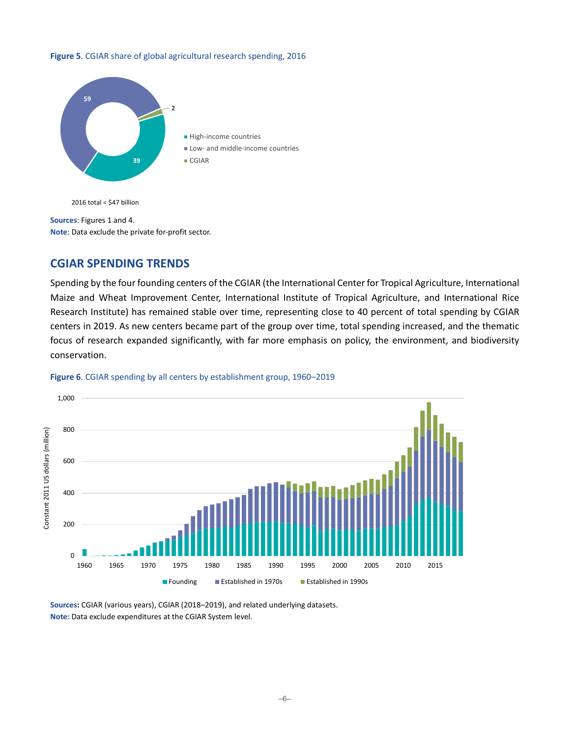# **Figure 5**. CGIAR share of global agricultural research spending, 2016 **59.1 1.8**



 $2016$  total = \$47 billion

**Sources**: Figures 1 and 4. **Note**: Data exclude the private for-profit sector.

## **CGIAR SPENDING TRENDS**

Spending by the four founding centers of the CGIAR (the International Center for Tropical Agriculture, International Maize and Wheat Improvement Center, International Institute of Tropical Agriculture, and International Rice Research Institute) has remained stable over time, representing close to 40 percent of total spending by CGIAR centers in 2019. As new centers became part of the group over time, total spending increased, and the thematic focus of research expanded significantly, with far more emphasis on policy, the environment, and biodiversity conservation.



#### **Figure 6**. CGIAR spending by all centers by establishment group, 1960–2019

**Sources:** CGIAR (various years), CGIAR (2018–2019), and related underlying datasets. **Note:** Data exclude expenditures at the CGIAR System level.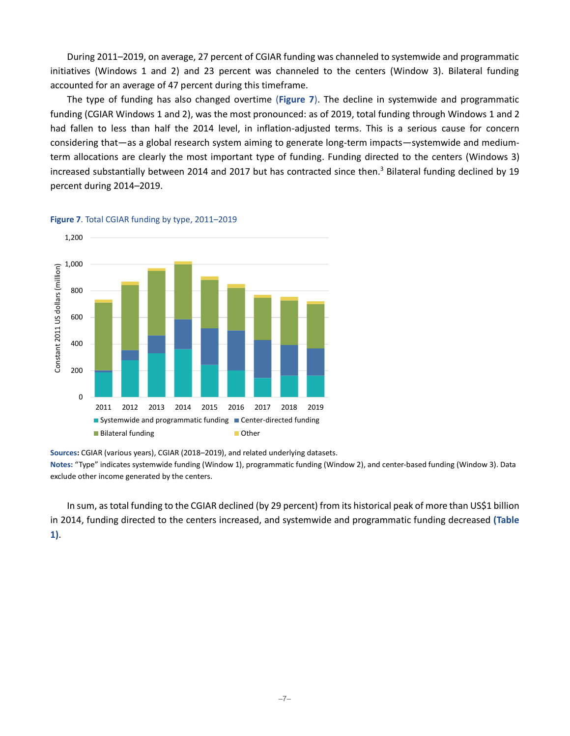During 2011–2019, on average, 27 percent of CGIAR funding was channeled to systemwide and programmatic initiatives (Windows 1 and 2) and 23 percent was channeled to the centers (Window 3). Bilateral funding accounted for an average of 47 percent during this timeframe.

The type of funding has also changed overtime (**Figure 7**). The decline in systemwide and programmatic funding (CGIAR Windows 1 and 2), was the most pronounced: as of 2019, total funding through Windows 1 and 2 had fallen to less than half the 2014 level, in inflation-adjusted terms. This is a serious cause for concern considering that—as a global research system aiming to generate long-term impacts—systemwide and mediumterm allocations are clearly the most important type of funding. Funding directed to the centers (Windows 3) increased substantially between 2014 and 2017 but has contracted since then. <sup>3</sup> Bilateral funding declined by 19 percent during 2014–2019.



#### **Figure 7**. Total CGIAR funding by type, 2011–2019

**Sources:** CGIAR (various years), CGIAR (2018–2019), and related underlying datasets.

**Notes:** "Type" indicates systemwide funding (Window 1), programmatic funding (Window 2), and center-based funding (Window 3). Data exclude other income generated by the centers.

In sum, as total funding to the CGIAR declined (by 29 percent) from its historical peak of more than US\$1 billion in 2014, funding directed to the centers increased, and systemwide and programmatic funding decreased **(Table 1)**.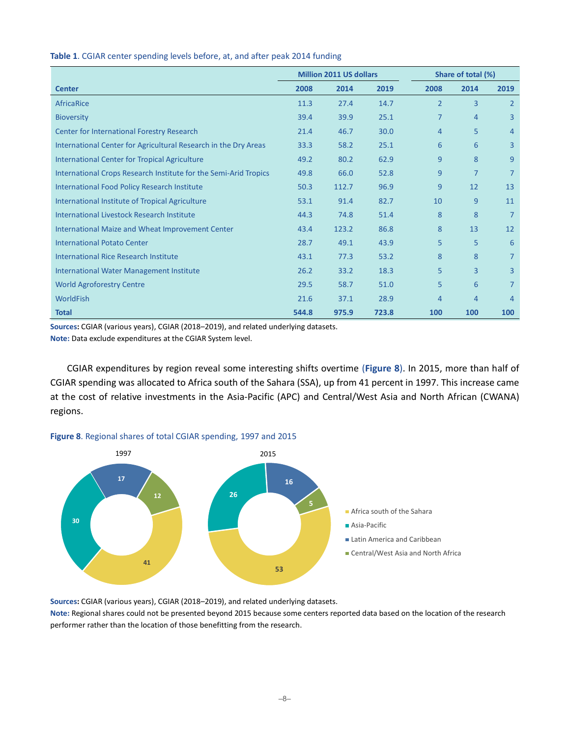|                                                                  | <b>Million 2011 US dollars</b> |       | Share of total (%) |                |                |                |
|------------------------------------------------------------------|--------------------------------|-------|--------------------|----------------|----------------|----------------|
| <b>Center</b>                                                    | 2008                           | 2014  | 2019               | 2008           | 2014           | 2019           |
| AfricaRice                                                       | 11.3                           | 27.4  | 14.7               | $\overline{2}$ | 3              | $\overline{2}$ |
| <b>Bioversity</b>                                                | 39.4                           | 39.9  | 25.1               | $\overline{7}$ | 4              | 3              |
| Center for International Forestry Research                       | 21.4                           | 46.7  | 30.0               | 4              | 5              | 4              |
| International Center for Agricultural Research in the Dry Areas  | 33.3                           | 58.2  | 25.1               | 6              | 6              | 3              |
| <b>International Center for Tropical Agriculture</b>             | 49.2                           | 80.2  | 62.9               | 9              | 8              | 9              |
| International Crops Research Institute for the Semi-Arid Tropics | 49.8                           | 66.0  | 52.8               | 9              | $\overline{7}$ | 7              |
| <b>International Food Policy Research Institute</b>              | 50.3                           | 112.7 | 96.9               | 9              | 12             | 13             |
| International Institute of Tropical Agriculture                  | 53.1                           | 91.4  | 82.7               | 10             | 9              | 11             |
| <b>International Livestock Research Institute</b>                | 44.3                           | 74.8  | 51.4               | 8              | 8              | 7              |
| International Maize and Wheat Improvement Center                 | 43.4                           | 123.2 | 86.8               | 8              | 13             | 12             |
| <b>International Potato Center</b>                               | 28.7                           | 49.1  | 43.9               | 5              | 5              | 6              |
| <b>International Rice Research Institute</b>                     | 43.1                           | 77.3  | 53.2               | 8              | 8              | 7              |
| <b>International Water Management Institute</b>                  | 26.2                           | 33.2  | 18.3               | 5              | $\overline{3}$ | 3              |
| <b>World Agroforestry Centre</b>                                 | 29.5                           | 58.7  | 51.0               | 5              | 6              | 7              |
| <b>WorldFish</b>                                                 | 21.6                           | 37.1  | 28.9               | 4              | 4              | $\overline{4}$ |
| <b>Total</b>                                                     | 544.8                          | 975.9 | 723.8              | 100            | 100            | 100            |

#### **Table 1**. CGIAR center spending levels before, at, and after peak 2014 funding

**Sources:** CGIAR (various years), CGIAR (2018–2019), and related underlying datasets.

**Note:** Data exclude expenditures at the CGIAR System level.

CGIAR expenditures by region reveal some interesting shifts overtime (**Figure 8**). In 2015, more than half of CGIAR spending was allocated to Africa south of the Sahara (SSA), up from 41 percent in 1997. This increase came at the cost of relative investments in the Asia-Pacific (APC) and Central/West Asia and North African (CWANA) regions.





**Sources:** CGIAR (various years), CGIAR (2018–2019), and related underlying datasets.

**Note:** Regional shares could not be presented beyond 2015 because some centers reported data based on the location of the research performer rather than the location of those benefitting from the research.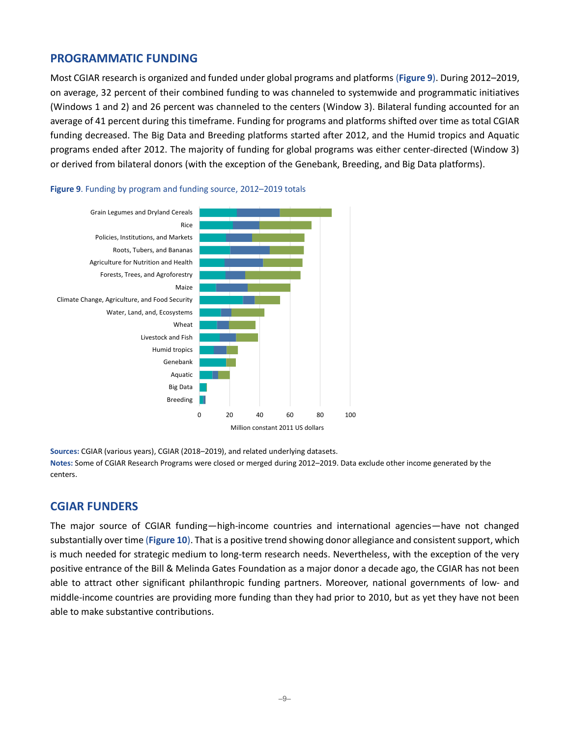## **PROGRAMMATIC FUNDING**

Most CGIAR research is organized and funded under global programs and platforms (**Figure 9**). During 2012–2019, on average, 32 percent of their combined funding to was channeled to systemwide and programmatic initiatives (Windows 1 and 2) and 26 percent was channeled to the centers (Window 3). Bilateral funding accounted for an average of 41 percent during this timeframe. Funding for programs and platforms shifted over time as total CGIAR funding decreased. The Big Data and Breeding platforms started after 2012, and the Humid tropics and Aquatic programs ended after 2012. The majority of funding for global programs was either center-directed (Window 3) or derived from bilateral donors (with the exception of the Genebank, Breeding, and Big Data platforms).



#### **Figure 9**. Funding by program and funding source, 2012–2019 totals

**Sources:** CGIAR (various years), CGIAR (2018–2019), and related underlying datasets. **Notes:** Some of CGIAR Research Programs were closed or merged during 2012–2019. Data exclude other income generated by the centers.

## **CGIAR FUNDERS**

The major source of CGIAR funding—high-income countries and international agencies—have not changed substantially over time (**Figure 10**). That is a positive trend showing donor allegiance and consistent support, which is much needed for strategic medium to long-term research needs. Nevertheless, with the exception of the very positive entrance of the Bill & Melinda Gates Foundation as a major donor a decade ago, the CGIAR has not been able to attract other significant philanthropic funding partners. Moreover, national governments of low- and middle-income countries are providing more funding than they had prior to 2010, but as yet they have not been able to make substantive contributions.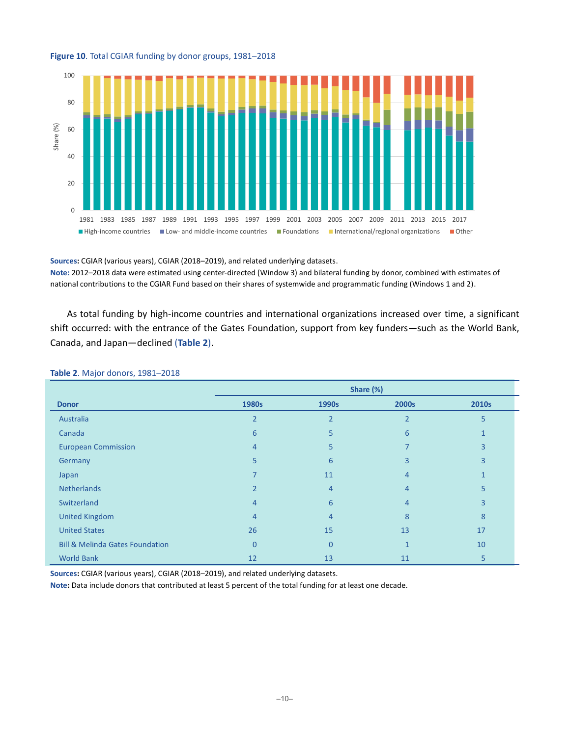



**Sources:** CGIAR (various years), CGIAR (2018–2019), and related underlying datasets.

**Note:** 2012–2018 data were estimated using center-directed (Window 3) and bilateral funding by donor, combined with estimates of national contributions to the CGIAR Fund based on their shares of systemwide and programmatic funding (Windows 1 and 2).

As total funding by high-income countries and international organizations increased over time, a significant shift occurred: with the entrance of the Gates Foundation, support from key funders—such as the World Bank, Canada, and Japan—declined (**Table 2**).

|                                            | Share (%)      |                |                |       |  |  |  |
|--------------------------------------------|----------------|----------------|----------------|-------|--|--|--|
| <b>Donor</b>                               | 1980s          | 1990s          | 2000s          | 2010s |  |  |  |
| Australia                                  | $\overline{2}$ | $\overline{2}$ | $\overline{2}$ | 5     |  |  |  |
| Canada                                     | 6              | 5              | 6              |       |  |  |  |
| <b>European Commission</b>                 | $\overline{4}$ | 5              |                | 3     |  |  |  |
| Germany                                    | 5 <sup>5</sup> | 6              | 3              | 3     |  |  |  |
| Japan                                      |                | 11             | 4              |       |  |  |  |
| <b>Netherlands</b>                         | $\overline{2}$ | $\overline{4}$ | 4              | 5     |  |  |  |
| Switzerland                                | $\overline{4}$ | 6              | 4              | 3     |  |  |  |
| <b>United Kingdom</b>                      | $\overline{4}$ | $\overline{4}$ | 8              | 8     |  |  |  |
| <b>United States</b>                       | 26             | 15             | 13             | 17    |  |  |  |
| <b>Bill &amp; Melinda Gates Foundation</b> | $\overline{0}$ | $\Omega$       | $\mathbf{1}$   | 10    |  |  |  |
| <b>World Bank</b>                          | 12             | 13             | 11             | 5     |  |  |  |

#### **Table 2**. Major donors, 1981–2018

**Sources:** CGIAR (various years), CGIAR (2018–2019), and related underlying datasets.

**Note:** Data include donors that contributed at least 5 percent of the total funding for at least one decade.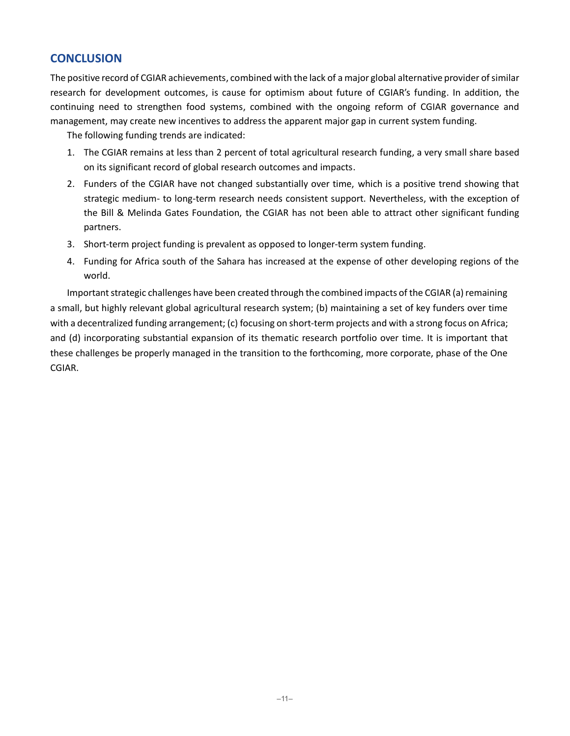# **CONCLUSION**

The positive record of CGIAR achievements, combined with the lack of amajor global alternative provider of similar research for development outcomes, is cause for optimism about future of CGIAR's funding. In addition, the continuing need to strengthen food systems, combined with the ongoing reform of CGIAR governance and management, may create new incentives to address the apparent major gap in current system funding.

The following funding trends are indicated:

- 1. The CGIAR remains at less than 2 percent of total agricultural research funding, a very small share based on its significant record of global research outcomes and impacts.
- 2. Funders of the CGIAR have not changed substantially over time, which is a positive trend showing that strategic medium- to long-term research needs consistent support. Nevertheless, with the exception of the Bill & Melinda Gates Foundation, the CGIAR has not been able to attract other significant funding partners.
- 3. Short-term project funding is prevalent as opposed to longer-term system funding.
- 4. Funding for Africa south of the Sahara has increased at the expense of other developing regions of the world.

Important strategic challenges have been created through the combined impacts of the CGIAR (a) remaining a small, but highly relevant global agricultural research system; (b) maintaining a set of key funders over time with a decentralized funding arrangement; (c) focusing on short-term projects and with a strong focus on Africa; and (d) incorporating substantial expansion of its thematic research portfolio over time. It is important that these challenges be properly managed in the transition to the forthcoming, more corporate, phase of the One CGIAR.